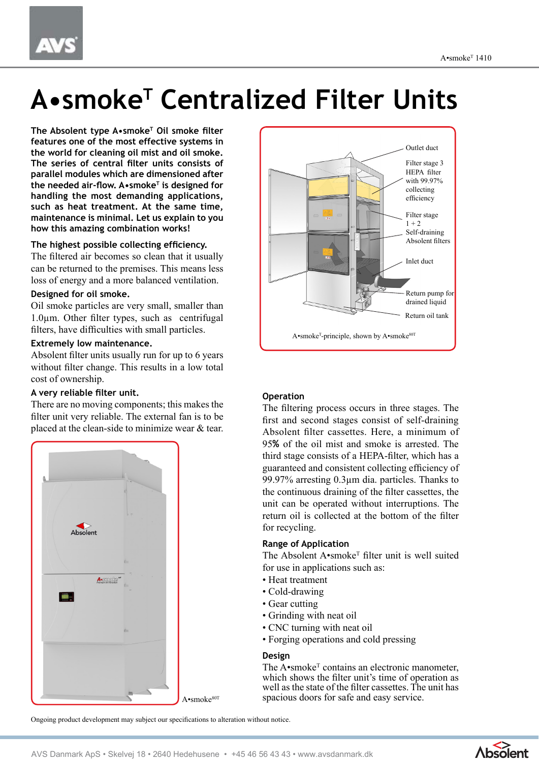# **A•smoke<sup>T</sup> Centralized Filter Units**

**The Absolent type A•smoke<sup>T</sup> Oil smoke filter features one of the most effective systems in the world for cleaning oil mist and oil smoke. The series of central filter units consists of parallel modules which are dimensioned after the needed air-flow. A•smoke<sup>T</sup> is designed for handling the most demanding applications, such as heat treatment. At the same time, maintenance is minimal. Let us explain to you how this amazing combination works!**

#### **The highest possible collecting efficiency.**

The filtered air becomes so clean that it usually can be returned to the premises. This means less loss of energy and a more balanced ventilation.

#### **Designed for oil smoke.**

Oil smoke particles are very small, smaller than 1.0µm. Other filter types, such as centrifugal filters, have difficulties with small particles.

#### **Extremely low maintenance.**

Absolent filter units usually run for up to 6 years without filter change. This results in a low total cost of ownership.

# **A very reliable filter unit.**

There are no moving components; this makes the filter unit very reliable. The external fan is to be placed at the clean-side to minimize wear & tear.



Filter stage 3 HEPA filter with 99.97% collecting efficiency Filter stage  $1 + 2$ Self-draining Absolent filters Return oil tank Inlet duct Return pump for drained liquid Outlet duct A•smoke<sup>T</sup>-principle, shown by A•smoke<sup>80T</sup>

### **Operation**

The filtering process occurs in three stages. The first and second stages consist of self-draining Absolent filter cassettes. Here, a minimum of 95**%** of the oil mist and smoke is arrested. The third stage consists of a HEPA-filter, which has a guaranteed and consistent collecting efficiency of 99.97% arresting 0.3µm dia. particles. Thanks to the continuous draining of the filter cassettes, the unit can be operated without interruptions. The return oil is collected at the bottom of the filter for recycling.

#### **Range of Application**

The Absolent A•smoke<sup>T</sup> filter unit is well suited for use in applications such as:

- Heat treatment
- Cold-drawing
- Gear cutting
- Grinding with neat oil
- CNC turning with neat oil
- Forging operations and cold pressing

#### **Design**

The  $A \cdot$ smoke<sup>T</sup> contains an electronic manometer, which shows the filter unit's time of operation as well as the state of the filter cassettes. The unit has spacious doors for safe and easy service.

Ongoing product development may subject our specifications to alteration without notice.